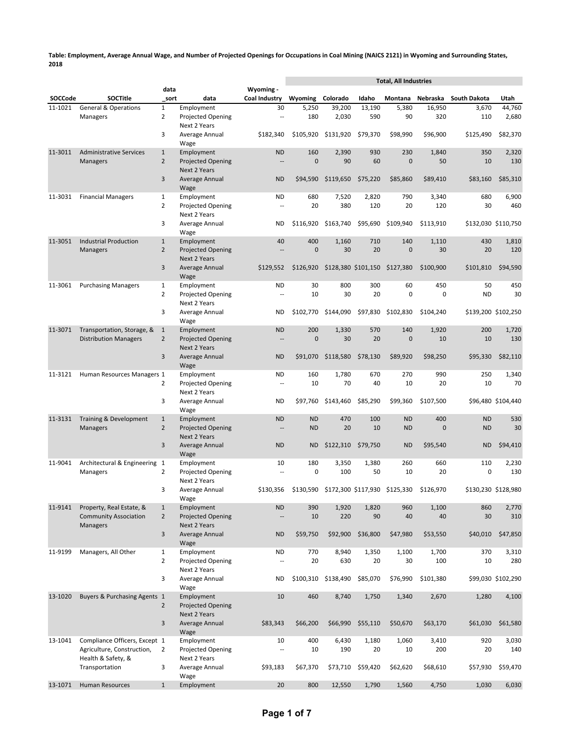|         |                                                            |                                |                                                        |                                |                     |                                         |             | <b>Total, All Industries</b>  |                |                 |                     |
|---------|------------------------------------------------------------|--------------------------------|--------------------------------------------------------|--------------------------------|---------------------|-----------------------------------------|-------------|-------------------------------|----------------|-----------------|---------------------|
| SOCCode | <b>SOCTitle</b>                                            | data<br>sort                   | data                                                   | Wyoming -<br>Coal Industry     | Wyoming             | Colorado                                | Idaho       | Montana                       | Nebraska       | South Dakota    | Utah                |
| 11-1021 | <b>General &amp; Operations</b>                            | $\mathbf{1}$                   | Employment                                             | 30                             | 5,250               | 39,200                                  | 13,190      | 5,380                         | 16,950         | 3,670           | 44,760              |
|         | Managers                                                   | $\overline{2}$                 | Projected Opening<br>Next 2 Years                      | $\overline{\phantom{a}}$       | 180                 | 2,030                                   | 590         | 90                            | 320            | 110             | 2,680               |
|         |                                                            | 3                              | Average Annual<br>Wage                                 | \$182,340                      | \$105,920           | \$131,920                               | \$79,370    | \$98.990                      | \$96,900       | \$125,490       | \$82,370            |
| 11-3011 | <b>Administrative Services</b>                             | $\mathbf{1}$                   | Employment                                             | <b>ND</b>                      | 160                 | 2,390                                   | 930         | 230                           | 1.840          | 350             | 2,320               |
|         | <b>Managers</b>                                            | $\overline{2}$                 | <b>Projected Opening</b><br>Next 2 Years               | $\overline{\phantom{a}}$       | $\mathbf{0}$        | 90                                      | 60          | $\mathbf{0}$                  | 50             | 10              | 130                 |
|         |                                                            | 3                              | Average Annual<br>Wage                                 | <b>ND</b>                      | \$94,590            | \$119,650                               | \$75,220    | \$85.860                      | \$89,410       | \$83,160        | \$85,310            |
| 11-3031 | <b>Financial Managers</b>                                  | $\mathbf{1}$                   | Employment                                             | <b>ND</b>                      | 680                 | 7,520                                   | 2,820       | 790                           | 3,340          | 680             | 6,900               |
|         |                                                            | $\overline{2}$                 | <b>Projected Opening</b><br>Next 2 Years               | $\overline{\phantom{a}}$       | 20                  | 380                                     | 120         | 20                            | 120            | 30              | 460                 |
|         |                                                            | 3                              | Average Annual<br>Wage                                 | ND                             | \$116,920           | \$163,740                               | \$95,690    | \$109,940                     | \$113,910      |                 | \$132,030 \$110,750 |
| 11-3051 | <b>Industrial Production</b><br><b>Managers</b>            | $\mathbf{1}$<br>$\overline{2}$ | Employment<br><b>Projected Opening</b><br>Next 2 Years | 40<br>$\overline{a}$           | 400<br>$\mathbf{0}$ | 1,160<br>30                             | 710<br>20   | 140<br>$\mathbf{0}$           | 1,110<br>30    | 430<br>20       | 1,810<br>120        |
|         |                                                            | 3                              | Average Annual<br>Wage                                 | \$129,552                      | \$126,920           |                                         |             | \$128,380 \$101,150 \$127,380 | \$100,900      | \$101,810       | \$94,590            |
| 11-3061 | <b>Purchasing Managers</b>                                 | $\mathbf{1}$<br>$\overline{2}$ | Employment<br><b>Projected Opening</b>                 | <b>ND</b><br>$\overline{a}$    | 30<br>10            | 800<br>30                               | 300<br>20   | 60<br>0                       | 450<br>0       | 50<br><b>ND</b> | 450<br>30           |
|         |                                                            | 3                              | Next 2 Years<br>Average Annual                         | ND                             | \$102,770           | \$144.090                               |             | \$97,830 \$102,830            | \$104,240      |                 | \$139,200 \$102,250 |
| 11-3071 |                                                            |                                | Wage                                                   |                                | 200                 | 1,330                                   | 570         | 140                           | 1,920          |                 |                     |
|         | Transportation, Storage, &<br><b>Distribution Managers</b> | $\mathbf{1}$<br>$\overline{2}$ | Employment<br><b>Projected Opening</b><br>Next 2 Years | <b>ND</b><br>$\qquad \qquad -$ | $\mathbf{0}$        | 30                                      | 20          | $\mathbf{0}$                  | 10             | 200<br>10       | 1,720<br>130        |
|         |                                                            | 3                              | Average Annual<br>Wage                                 | <b>ND</b>                      | \$91,070            | \$118,580                               | \$78,130    | \$89,920                      | \$98,250       | \$95,330        | \$82,110            |
| 11-3121 | Human Resources Managers 1                                 | $\overline{2}$                 | Employment<br>Projected Opening                        | <b>ND</b><br>$\sim$ $\sim$     | 160<br>10           | 1,780<br>70                             | 670<br>40   | 270<br>10                     | 990<br>20      | 250<br>10       | 1,340<br>70         |
|         |                                                            | 3                              | Next 2 Years<br>Average Annual                         | ND                             | \$97,760            | \$143,460                               | \$85,290    | \$99,360                      | \$107,500      |                 | \$96,480 \$104,440  |
| 11-3131 | Training & Development                                     | $\mathbf{1}$                   | Wage<br>Employment                                     | <b>ND</b>                      | <b>ND</b>           | 470                                     | 100         | <b>ND</b>                     | 400            | <b>ND</b>       | 530                 |
|         | <b>Managers</b>                                            | $\overline{2}$                 | <b>Projected Opening</b><br>Next 2 Years               | $\overline{\phantom{a}}$       | <b>ND</b>           | 20                                      | 10          | <b>ND</b>                     | $\overline{0}$ | <b>ND</b>       | 30                  |
|         |                                                            | 3                              | Average Annual<br>Wage                                 | <b>ND</b>                      | <b>ND</b>           | \$122,310 \$79,750                      |             | <b>ND</b>                     | \$95,540       | <b>ND</b>       | \$94,410            |
| 11-9041 | Architectural & Engineering 1<br>Managers                  | $\overline{2}$                 | Employment<br>Projected Opening<br>Next 2 Years        | 10<br>$\sim$ $\sim$            | 180<br>0            | 3,350<br>100                            | 1,380<br>50 | 260<br>10                     | 660<br>20      | 110<br>0        | 2,230<br>130        |
|         |                                                            | 3                              | Average Annual<br>wage                                 | \$130,356                      |                     | \$130,590 \$172,300 \$117,930 \$125,330 |             |                               | \$126.970      |                 | \$130,230 \$128,980 |
| 11-9141 | Property, Real Estate, &                                   | $\mathbf{1}$                   | Employment                                             | <b>ND</b>                      | 390                 | 1,920                                   | 1,820       | 960                           | 1,100          | 860             | 2,770               |
|         | <b>Community Association</b><br><b>Managers</b>            | $\overline{2}$                 | <b>Projected Opening</b><br>Next 2 Years               | $\cdots$                       | 10                  | 220                                     | 90          | 40                            | 40             | 30              | 310                 |
|         |                                                            | $\mathbf{3}$                   | Average Annual<br>Wage                                 | <b>ND</b>                      | \$59,750            | \$92,900                                | \$36,800    | \$47,980                      | \$53,550       | \$40,010        | \$47,850            |
| 11-9199 | Managers, All Other                                        | $\mathbf{1}$<br>$\overline{2}$ | Employment<br>Projected Opening                        | ND<br>$\overline{\phantom{a}}$ | 770<br>20           | 8,940<br>630                            | 1,350<br>20 | 1,100<br>30                   | 1,700<br>100   | 370<br>10       | 3,310<br>280        |
|         |                                                            | 3                              | Next 2 Years<br>Average Annual                         | ND                             | \$100,310           | \$138,490                               | \$85,070    | \$76,990                      | \$101,380      |                 | \$99,030 \$102,290  |
| 13-1020 | Buyers & Purchasing Agents 1                               | $\overline{2}$                 | Wage<br>Employment<br><b>Projected Opening</b>         | 10                             | 460                 | 8,740                                   | 1,750       | 1,340                         | 2,670          | 1,280           | 4,100               |
|         |                                                            | 3                              | Next 2 Years<br>Average Annual                         | \$83,343                       | \$66,200            | \$66,990                                | \$55,110    | \$50,670                      | \$63,170       | \$61,030        | \$61,580            |
| 13-1041 | Compliance Officers, Except 1                              |                                | Wage<br>Employment                                     | 10                             | 400                 | 6,430                                   | 1,180       | 1,060                         | 3,410          | 920             | 3,030               |
|         | Agriculture, Construction,<br>Health & Safety, &           | $\overline{2}$                 | Projected Opening<br>Next 2 Years                      | $\overline{\phantom{a}}$       | 10                  | 190                                     | 20          | 10                            | 200            | 20              | 140                 |
|         | Transportation                                             | 3                              | Average Annual<br>Wage                                 | \$93,183                       | \$67,370            | \$73,710                                | \$59,420    | \$62,620                      | \$68,610       | \$57,930        | \$59,470            |
| 13-1071 | Human Resources                                            | $\mathbf{1}$                   | Employment                                             | 20                             | 800                 | 12,550                                  | 1,790       | 1,560                         | 4,750          | 1,030           | 6,030               |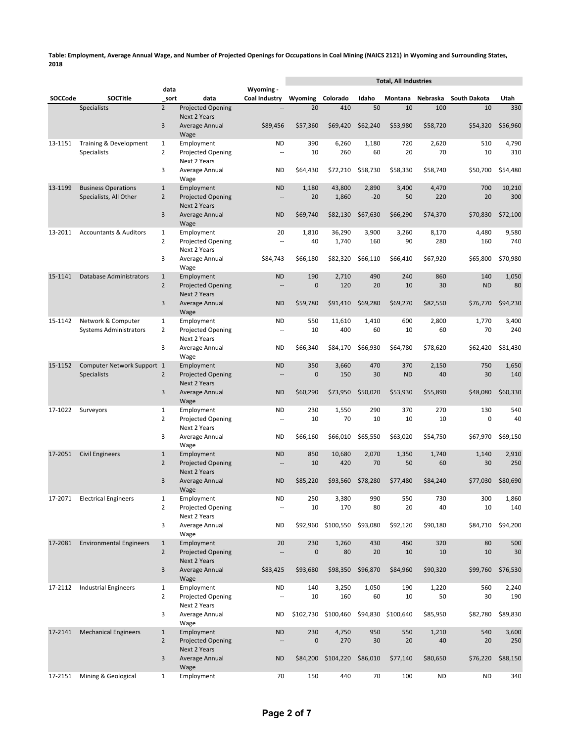|         |                                                      |                                |                                                               |                                       |                  |                    |                | <b>Total, All Industries</b> |              |                     |               |
|---------|------------------------------------------------------|--------------------------------|---------------------------------------------------------------|---------------------------------------|------------------|--------------------|----------------|------------------------------|--------------|---------------------|---------------|
| SOCCode | <b>SOCTitle</b>                                      | data<br>sort                   | data                                                          | Wyoming -<br>Coal Industry            | Wyoming Colorado |                    | Idaho          | Montana                      | Nebraska     | <b>South Dakota</b> | Utah          |
|         | <b>Specialists</b>                                   | $\overline{2}$                 | <b>Projected Opening</b>                                      | u.                                    | 20               | 410                | 50             | 10                           | 100          | 10                  | 330           |
|         |                                                      | 3                              | <b>Next 2 Years</b><br>Average Annual                         | \$89,456                              | \$57,360         | \$69,420           | \$62,240       | \$53,980                     | \$58,720     | \$54,320            | \$56,960      |
| 13-1151 | Training & Development<br><b>Specialists</b>         | $\mathbf{1}$<br>$\overline{2}$ | Wage<br>Employment<br>Projected Opening                       | ND<br>$\overline{\phantom{a}}$        | 390<br>10        | 6,260<br>260       | 1,180<br>60    | 720<br>20                    | 2,620<br>70  | 510<br>10           | 4,790<br>310  |
|         |                                                      | 3                              | Next 2 Years<br>Average Annual                                | ND                                    | \$64,430         | \$72,210           | \$58,730       | \$58,330                     | \$58,740     | \$50,700            | \$54,480      |
| 13-1199 |                                                      |                                | Wage                                                          |                                       |                  |                    |                |                              |              |                     |               |
|         | <b>Business Operations</b><br>Specialists, All Other | $\mathbf{1}$<br>$\overline{2}$ | Employment<br><b>Projected Opening</b><br><b>Next 2 Years</b> | <b>ND</b><br>--                       | 1,180<br>20      | 43,800<br>1,860    | 2,890<br>$-20$ | 3,400<br>50                  | 4,470<br>220 | 700<br>20           | 10,210<br>300 |
|         |                                                      | 3                              | Average Annual<br>Wage                                        | <b>ND</b>                             | \$69,740         | \$82,130           | \$67,630       | \$66,290                     | \$74,370     | \$70,830            | \$72,100      |
| 13-2011 | <b>Accountants &amp; Auditors</b>                    | $\mathbf{1}$<br>$\overline{2}$ | Employment<br>Projected Opening<br>Next 2 Years               | 20<br>$\sim$                          | 1,810<br>40      | 36,290<br>1,740    | 3,900<br>160   | 3,260<br>90                  | 8,170<br>280 | 4,480<br>160        | 9,580<br>740  |
|         |                                                      | 3                              | Average Annual<br>Wage                                        | \$84,743                              | \$66,180         | \$82,320           | \$66,110       | \$66,410                     | \$67,920     | \$65,800            | \$70,980      |
| 15-1141 | <b>Database Administrators</b>                       | $\mathbf{1}$<br>$\overline{2}$ | Employment<br>Projected Opening<br>Next 2 Years               | <b>ND</b><br>$\frac{1}{2}$            | 190<br>$\bf 0$   | 2,710<br>120       | 490<br>20      | 240<br>10                    | 860<br>30    | 140<br><b>ND</b>    | 1,050<br>80   |
|         |                                                      | 3                              | Average Annual<br>Wage                                        | <b>ND</b>                             | \$59,780         | \$91,410           | \$69,280       | \$69,270                     | \$82,550     | \$76,770            | \$94,230      |
| 15-1142 | Network & Computer<br><b>Systems Administrators</b>  | $\mathbf{1}$<br>$\overline{2}$ | Employment<br>Projected Opening                               | ND<br>$\overline{a}$                  | 550<br>10        | 11,610<br>400      | 1,410<br>60    | 600<br>10                    | 2,800<br>60  | 1,770<br>70         | 3,400<br>240  |
|         |                                                      | 3                              | Next 2 Years<br>Average Annual<br>Wage                        | <b>ND</b>                             | \$66,340         | \$84,170           | \$66,930       | \$64.780                     | \$78,620     | \$62,420            | \$81,430      |
| 15-1152 | Computer Network Support 1<br><b>Specialists</b>     | $\overline{2}$                 | Employment<br><b>Projected Opening</b>                        | <b>ND</b><br>--                       | 350<br>$\bf 0$   | 3,660<br>150       | 470<br>30      | 370<br><b>ND</b>             | 2,150<br>40  | 750<br>30           | 1,650<br>140  |
|         |                                                      | 3                              | Next 2 Years<br>Average Annual<br>Wage                        | <b>ND</b>                             | \$60,290         | \$73,950           | \$50,020       | \$53,930                     | \$55,890     | \$48,080            | \$60,330      |
| 17-1022 | Surveyors                                            | $\mathbf{1}$<br>$\overline{2}$ | Employment<br>Projected Opening                               | ND<br>$\overline{\phantom{a}}$        | 230<br>10        | 1,550<br>70        | 290<br>10      | 370<br>10                    | 270<br>10    | 130<br>$\mathbf 0$  | 540<br>40     |
|         |                                                      | 3                              | Next 2 Years<br>Average Annual<br>Wage                        | ND                                    | \$66,160         | \$66,010           | \$65,550       | \$63,020                     | \$54,750     | \$67,970            | \$69,150      |
| 17-2051 | <b>Civil Engineers</b>                               | $\mathbf{1}$                   | Employment                                                    | <b>ND</b>                             | 850              | 10,680             | 2,070          | 1,350                        | 1,740        | 1,140               | 2,910         |
|         |                                                      | $\overline{2}$                 | <b>Projected Opening</b><br>Next 2 Years                      | --                                    | 10               | 420                | 70             | 50                           | 60           | 30                  | 250           |
|         |                                                      | 3                              | Average Annual<br>Wage                                        | <b>ND</b>                             | \$85,220         | \$93.560           | \$78,280       | \$77,480                     | \$84,240     | \$77,030            | \$80,690      |
|         | 17-2071 Electrical Engineers                         | 1<br>$\overline{2}$            | Employment<br>Projected Opening<br>Next 2 Years               | ND<br>$\overline{\phantom{a}}$        | 250<br>10        | 3,380<br>170       | 990<br>80      | 550<br>20                    | 730<br>40    | 300<br>10           | 1,860<br>140  |
|         |                                                      | 3                              | Average Annual<br>Wage                                        | <b>ND</b>                             | \$92,960         | \$100,550          | \$93,080       | \$92,120                     | \$90,180     | \$84,710            | \$94,200      |
| 17-2081 | <b>Environmental Engineers</b>                       | $\mathbf{1}$                   | Employment                                                    | 20                                    | 230              | 1,260              | 430            | 460                          | 320          | 80                  | 500           |
|         |                                                      | $\overline{2}$                 | <b>Projected Opening</b><br>Next 2 Years                      | --                                    | $\pmb{0}$        | 80                 | 20             | 10                           | 10           | 10                  | 30            |
|         |                                                      | 3                              | Average Annual<br>Wage                                        | \$83,425                              | \$93,680         | \$98,350           | \$96,870       | \$84,960                     | \$90,320     | \$99,760            | \$76,530      |
| 17-2112 | <b>Industrial Engineers</b>                          | $\mathbf{1}$<br>$\overline{2}$ | Employment<br>Projected Opening<br>Next 2 Years               | <b>ND</b><br>$\overline{\phantom{a}}$ | 140<br>10        | 3,250<br>160       | 1,050<br>60    | 190<br>10                    | 1,220<br>50  | 560<br>30           | 2,240<br>190  |
|         |                                                      | 3                              | Average Annual<br>Wage                                        | ND                                    | \$102,730        | \$100,460          | \$94,830       | \$100,640                    | \$85,950     | \$82,780            | \$89,830      |
| 17-2141 | <b>Mechanical Engineers</b>                          | $\mathbf{1}$                   | Employment                                                    | <b>ND</b>                             | 230              | 4,750              | 950            | 550                          | 1,210        | 540                 | 3,600         |
|         |                                                      | $\overline{2}$                 | Projected Opening<br>Next 2 Years                             | Ξ.                                    | $\pmb{0}$        | 270                | 30             | 20                           | 40           | 20                  | 250           |
|         |                                                      | 3                              | Average Annual<br>Wage                                        | <b>ND</b>                             |                  | \$84,200 \$104,220 | \$86,010       | \$77,140                     | \$80,650     | \$76,220            | \$88,150      |
| 17-2151 | Mining & Geological                                  | $\mathbf{1}$                   | Employment                                                    | 70                                    | 150              | 440                | 70             | 100                          | ND           | ND                  | 340           |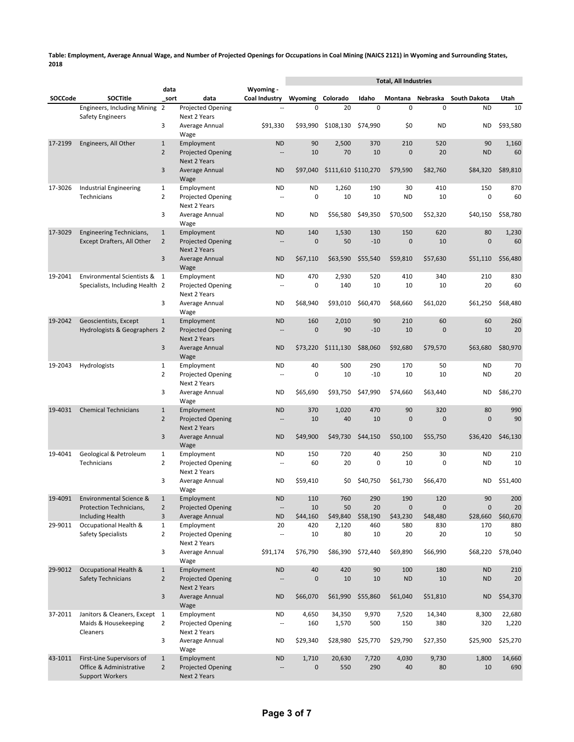|         |                                                                                |                                |                                                            |                                       |                               | <b>Total, All Industries</b> |                |                         |                         |                               |                 |
|---------|--------------------------------------------------------------------------------|--------------------------------|------------------------------------------------------------|---------------------------------------|-------------------------------|------------------------------|----------------|-------------------------|-------------------------|-------------------------------|-----------------|
| SOCCode | <b>SOCTitle</b>                                                                | data<br>sort                   | data                                                       | Wyoming -<br>Coal Industry            | Wyoming                       | Colorado                     | Idaho          |                         |                         | Montana Nebraska South Dakota | Utah            |
|         | Engineers, Including Mining 2                                                  |                                | <b>Projected Opening</b>                                   |                                       | 0                             | 20                           | 0              | 0                       | 0                       | <b>ND</b>                     | 10              |
|         | <b>Safety Engineers</b>                                                        | 3                              | Next 2 Years<br>Average Annual<br>Wage                     | \$91,330                              | \$93,990                      | \$108,130                    | \$74,990       | \$0                     | <b>ND</b>               | <b>ND</b>                     | \$93,580        |
| 17-2199 | Engineers, All Other                                                           | $\mathbf{1}$<br>$\overline{2}$ | Employment<br><b>Projected Opening</b>                     | <b>ND</b><br>--                       | 90<br>10                      | 2,500<br>70                  | 370<br>10      | 210<br>0                | 520<br>20               | 90<br><b>ND</b>               | 1,160<br>60     |
|         |                                                                                | 3                              | Next 2 Years<br>Average Annual<br>Wage                     | <b>ND</b>                             | \$97.040                      | \$111,610 \$110,270          |                | \$79,590                | \$82,760                | \$84,320                      | \$89,810        |
| 17-3026 | <b>Industrial Engineering</b><br>Technicians                                   | $\mathbf{1}$<br>$\overline{2}$ | Employment<br>Projected Opening                            | ND<br>$\overline{a}$                  | <b>ND</b><br>$\boldsymbol{0}$ | 1,260<br>10                  | 190<br>10      | 30<br><b>ND</b>         | 410<br>10               | 150<br>0                      | 870<br>60       |
|         |                                                                                | 3                              | Next 2 Years<br>Average Annual<br>Wage                     | ND                                    | <b>ND</b>                     | \$56,580                     | \$49,350       | \$70,500                | \$52,320                | \$40,150                      | \$58,780        |
| 17-3029 | Engineering Technicians,<br>Except Drafters, All Other                         | $\mathbf{1}$<br>$\overline{2}$ | Employment<br><b>Projected Opening</b>                     | <b>ND</b><br>$\overline{\phantom{a}}$ | 140<br>$\mathbf 0$            | 1,530<br>50                  | 130<br>$-10$   | 150<br>$\overline{0}$   | 620<br>10               | 80<br>$\mathbf{0}$            | 1,230<br>60     |
|         |                                                                                | 3                              | Next 2 Years<br>Average Annual<br>Wage                     | <b>ND</b>                             | \$67,110                      | \$63,590                     | \$55,540       | \$59,810                | \$57,630                | \$51,110                      | \$56,480        |
| 19-2041 | Environmental Scientists & 1                                                   |                                | Employment                                                 | ND                                    | 470                           | 2,930                        | 520            | 410                     | 340                     | 210                           | 830             |
|         | Specialists, Including Health 2                                                | 3                              | Projected Opening<br>Next 2 Years<br>Average Annual        | ٠.<br><b>ND</b>                       | 0<br>\$68,940                 | 140<br>\$93,010              | 10<br>\$60,470 | 10<br>\$68,660          | 10<br>\$61,020          | 20<br>\$61,250                | 60<br>\$68,480  |
|         |                                                                                |                                | Wage                                                       |                                       |                               |                              |                |                         |                         |                               |                 |
| 19-2042 | Geoscientists, Except<br>Hydrologists & Geographers 2                          | $\mathbf{1}$                   | Employment<br><b>Projected Opening</b><br>Next 2 Years     | <b>ND</b><br>$\overline{a}$           | 160<br>0                      | 2,010<br>90                  | 90<br>$-10$    | 210<br>10               | 60<br>$\mathbf 0$       | 60<br>10                      | 260<br>20       |
|         |                                                                                | 3                              | Average Annual<br>Wage                                     | <b>ND</b>                             | \$73,220                      | \$111,130                    | \$88,060       | \$92,680                | \$79,570                | \$63,680                      | \$80,970        |
| 19-2043 | Hydrologists                                                                   | $\mathbf{1}$<br>$\overline{2}$ | Employment<br><b>Projected Opening</b><br>Next 2 Years     | <b>ND</b><br>$\overline{a}$           | 40<br>0                       | 500<br>10                    | 290<br>$-10$   | 170<br>10               | 50<br>10                | <b>ND</b><br><b>ND</b>        | 70<br>20        |
|         |                                                                                | 3                              | Average Annual<br>Wage                                     | <b>ND</b>                             | \$65,690                      | \$93,750                     | \$47,990       | \$74,660                | \$63,440                | <b>ND</b>                     | \$86,270        |
| 19-4031 | <b>Chemical Technicians</b>                                                    | $\mathbf{1}$<br>$\overline{2}$ | Employment<br><b>Projected Opening</b><br>Next 2 Years     | <b>ND</b><br>$\sim$                   | 370<br>10                     | 1,020<br>40                  | 470<br>10      | 90<br>$\mathbf{0}$      | 320<br>$\mathbf 0$      | 80<br>$\mathbf{0}$            | 990<br>90       |
|         |                                                                                | 3                              | Average Annual<br>Wage                                     | <b>ND</b>                             | \$49,900                      | \$49,730                     | \$44,150       | \$50,100                | \$55,750                | \$36,420                      | \$46,130        |
| 19-4041 | Geological & Petroleum                                                         | $\mathbf{1}$                   | Employment                                                 | <b>ND</b>                             | 150                           | 720                          | 40             | 250                     | 30                      | <b>ND</b>                     | 210             |
|         | Technicians                                                                    | $\overline{2}$<br>3            | <b>Projected Opening</b><br>Next 2 Years<br>Average Annual | $\overline{\phantom{a}}$<br><b>ND</b> | 60<br>\$59.410                | 20<br>\$0                    | 0<br>\$40,750  | 10<br>\$61,730          | $\mathbf 0$<br>\$66,470 | ND<br><b>ND</b>               | 10<br>\$51,400  |
|         |                                                                                |                                | Wage                                                       |                                       |                               |                              |                |                         |                         |                               |                 |
| 19-4091 | Environmental Science &<br>Protection Technicians,                             | $\mathbf{1}$<br>$\overline{2}$ | Employment<br><b>Projected Opening</b>                     | <b>ND</b><br>$\cdots$                 | 110<br>10                     | 760<br>50                    | 290<br>20      | 190<br>$\boldsymbol{0}$ | 120<br>$\mathbf 0$      | 90<br>$\mathbf 0$             | 200<br>20       |
|         | <b>Including Health</b>                                                        | 3                              | Average Annual                                             | <b>ND</b>                             | \$44,160                      | \$49,840                     | \$58,190       | \$43,230                | \$48,480                | \$28,660                      | \$60,670        |
| 29-9011 | Occupational Health &<br><b>Safety Specialists</b>                             | $\mathbf{1}$<br>$\overline{2}$ | Employment<br>Projected Opening<br>Next 2 Years            | 20<br>$\overline{\phantom{a}}$        | 420<br>10                     | 2,120<br>80                  | 460<br>10      | 580<br>20               | 830<br>20               | 170<br>10                     | 880<br>50       |
|         |                                                                                | 3                              | Average Annual<br>Wage                                     | \$91,174                              | \$76,790                      | \$86,390                     | \$72,440       | \$69,890                | \$66,990                | \$68,220                      | \$78,040        |
| 29-9012 | <b>Occupational Health &amp;</b><br>Safety Technicians                         | $\mathbf{1}$<br>$\overline{2}$ | Employment<br>Projected Opening<br>Next 2 Years            | <b>ND</b><br>--                       | 40<br>$\pmb{0}$               | 420<br>10                    | 90<br>10       | 100<br><b>ND</b>        | 180<br>10               | <b>ND</b><br><b>ND</b>        | 210<br>20       |
|         |                                                                                | 3                              | Average Annual<br>Wage                                     | <b>ND</b>                             | \$66,070                      | \$61,990                     | \$55,860       | \$61,040                | \$51,810                | <b>ND</b>                     | \$54,370        |
| 37-2011 | Janitors & Cleaners, Except 1<br>Maids & Housekeeping                          | $\overline{2}$                 | Employment<br>Projected Opening                            | <b>ND</b><br>44                       | 4,650<br>160                  | 34,350<br>1,570              | 9,970<br>500   | 7,520<br>150            | 14,340<br>380           | 8,300<br>320                  | 22,680<br>1,220 |
|         | Cleaners                                                                       | 3                              | Next 2 Years<br>Average Annual<br>Wage                     | <b>ND</b>                             | \$29,340                      | \$28,980                     | \$25,770       | \$29,790                | \$27,350                | \$25,900                      | \$25,270        |
| 43-1011 | First-Line Supervisors of<br>Office & Administrative<br><b>Support Workers</b> | $\mathbf{1}$<br>$\overline{2}$ | Employment<br>Projected Opening<br>Next 2 Years            | <b>ND</b>                             | 1,710<br>$\pmb{0}$            | 20,630<br>550                | 7,720<br>290   | 4,030<br>40             | 9,730<br>80             | 1,800<br>10                   | 14,660<br>690   |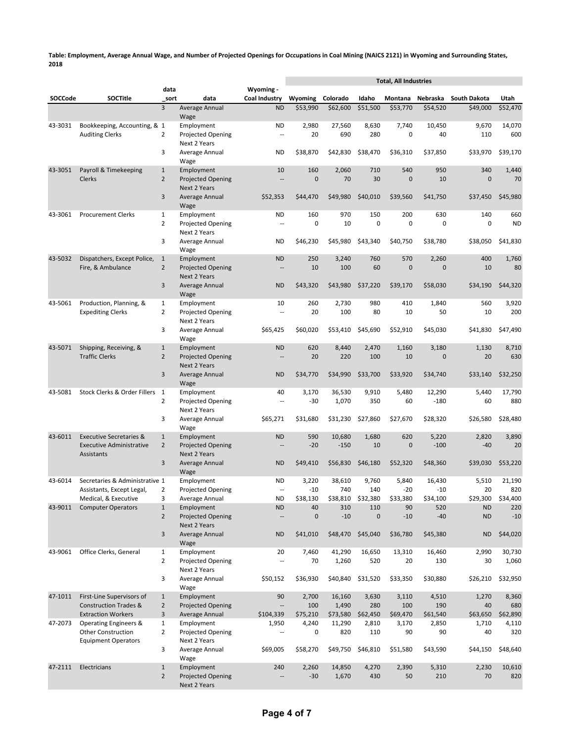|         |                                                    |                                |                                                 |                            |                   |                    |                   | <b>Total, All Industries</b> |                   |                   |                   |
|---------|----------------------------------------------------|--------------------------------|-------------------------------------------------|----------------------------|-------------------|--------------------|-------------------|------------------------------|-------------------|-------------------|-------------------|
| SOCCode | <b>SOCTitle</b>                                    | data<br>sort                   | data                                            | Wyoming -<br>Coal Industry | Wyoming           | Colorado           | Idaho             | Montana                      | Nebraska          | South Dakota      | Utah              |
|         |                                                    | 3                              | Average Annual                                  | <b>ND</b>                  | \$53,990          | \$62,600           | \$51,500          | \$53.770                     | \$54,520          | \$49,000          | \$52,470          |
| 43-3031 | Bookkeeping, Accounting, & 1                       |                                | Wage<br>Employment                              | <b>ND</b>                  | 2,980             | 27,560             | 8,630             | 7,740                        | 10.450            | 9,670             | 14,070            |
|         | <b>Auditing Clerks</b>                             | $\overline{2}$                 | Projected Opening<br>Next 2 Years               | ٠.                         | 20                | 690                | 280               | 0                            | 40                | 110               | 600               |
|         |                                                    | 3                              | Average Annual<br>Wage                          | <b>ND</b>                  | \$38,870          | \$42,830           | \$38,470          | \$36,310                     | \$37,850          | \$33,970          | \$39,170          |
| 43-3051 | Payroll & Timekeeping                              | $\mathbf 1$                    | Employment                                      | 10                         | 160               | 2,060              | 710               | 540                          | 950               | 340               | 1,440             |
|         | Clerks                                             | $\overline{2}$                 | <b>Projected Opening</b><br><b>Next 2 Years</b> | $\overline{a}$             | $\mathbf{0}$      | 70                 | 30                | $\mathbf 0$                  | 10                | $\mathbf 0$       | 70                |
|         |                                                    | 3                              | Average Annual<br>Wage                          | \$52,353                   | \$44,470          | \$49,980           | \$40,010          | \$39,560                     | \$41,750          | \$37,450          | \$45,980          |
| 43-3061 | <b>Procurement Clerks</b>                          | $\mathbf{1}$                   | Employment                                      | ND                         | 160               | 970                | 150               | 200                          | 630               | 140               | 660               |
|         |                                                    | $\overline{2}$                 | Projected Opening<br>Next 2 Years               | ٠.                         | 0                 | 10                 | $\mathbf 0$       | $\mathbf 0$                  | 0                 | $\mathbf 0$       | <b>ND</b>         |
|         |                                                    | 3                              | Average Annual<br>Wage                          | ND                         | \$46,230          | \$45,980           | \$43,340          | \$40,750                     | \$38,780          | \$38,050          | \$41,830          |
| 43-5032 | Dispatchers, Except Police,                        | $\mathbf{1}$                   | Employment                                      | <b>ND</b>                  | 250               | 3,240              | 760               | 570                          | 2,260             | 400               | 1,760             |
|         | Fire, & Ambulance                                  | $\overline{2}$                 | <b>Projected Opening</b><br><b>Next 2 Years</b> | $\overline{a}$             | 10                | 100                | 60                | $\overline{0}$               | $\mathbf{0}$      | 10                | 80                |
|         |                                                    | 3                              | Average Annual<br>Wage                          | <b>ND</b>                  | \$43,320          | \$43,980           | \$37,220          | \$39,170                     | \$58,030          | \$34,190          | \$44,320          |
| 43-5061 | Production, Planning, &                            | $\mathbf{1}$                   | Employment                                      | 10                         | 260               | 2,730              | 980               | 410                          | 1,840             | 560               | 3,920             |
|         | <b>Expediting Clerks</b>                           | $\overline{2}$                 | Projected Opening<br>Next 2 Years               | u.                         | 20                | 100                | 80                | 10                           | 50                | 10                | 200               |
|         |                                                    | 3                              | Average Annual<br>Wage                          | \$65,425                   | \$60,020          | \$53,410           | \$45,690          | \$52,910                     | \$45,030          | \$41,830          | \$47,490          |
| 43-5071 | Shipping, Receiving, &                             | $\mathbf{1}$                   | Employment                                      | <b>ND</b>                  | 620               | 8,440              | 2,470             | 1,160                        | 3,180             | 1,130             | 8,710             |
|         | <b>Traffic Clerks</b>                              | $\overline{2}$                 | <b>Projected Opening</b>                        | --                         | 20                | 220                | 100               | 10                           | $\mathbf{0}$      | 20                | 630               |
|         |                                                    | 3                              | <b>Next 2 Years</b><br>Average Annual           | <b>ND</b>                  | \$34,770          | \$34,990           | \$33,700          | \$33,920                     | \$34,740          | \$33,140          | \$32,250          |
| 43-5081 | Stock Clerks & Order Fillers                       | 1                              | Wage<br>Employment                              | 40                         | 3,170             | 36,530             | 9,910             | 5,480                        | 12,290            | 5,440             | 17,790            |
|         |                                                    | $\overline{2}$                 | Projected Opening<br>Next 2 Years               | --                         | $-30$             | 1,070              | 350               | 60                           | $-180$            | 60                | 880               |
|         |                                                    | 3                              | Average Annual<br>Wage                          | \$65,271                   | \$31,680          | \$31,230           | \$27,860          | \$27,670                     | \$28,320          | \$26,580          | \$28,480          |
| 43-6011 | <b>Executive Secretaries &amp;</b>                 | $\mathbf{1}$                   | Employment                                      | <b>ND</b>                  | 590               | 10,680             | 1,680             | 620                          | 5,220             | 2,820             | 3,890             |
|         | <b>Executive Administrative</b>                    | $\overline{2}$                 | <b>Projected Opening</b>                        | $\overline{\phantom{a}}$   | $-20$             | $-150$             | 10                | $\overline{0}$               | $-100$            | $-40$             | 20                |
|         | Assistants                                         |                                | <b>Next 2 Years</b>                             |                            |                   |                    |                   |                              |                   |                   |                   |
|         |                                                    | 3                              | Average Annual<br>Wage                          | <b>ND</b>                  | \$49,410          | \$56,830           | \$46,180          | \$52,320                     | \$48,360          | \$39,030          | \$53,220          |
| 43-6014 | Secretaries & Administrative 1                     |                                | Employment                                      | ND                         | 3,220             | 38,610             | 9,760             | 5,840                        | 16,430            | 5,510             | 21,190<br>820     |
|         | Assistants, Except Legal,<br>Medical, & Executive  | 2<br>3                         | Projected Opening<br>Average Annual             | ۰.<br><b>ND</b>            | -10<br>\$38,130   | 740<br>\$38,810    | 140<br>\$32,380   | $-20$<br>\$33,380            | $-10$<br>\$34,100 | 20                | \$29,300 \$34,400 |
| 43-9011 | <b>Computer Operators</b>                          | $\mathbf{1}$                   | Employment                                      | <b>ND</b>                  | 40                | 310                | 110               | 90                           | 520               | <b>ND</b>         | 220               |
|         |                                                    | $\overline{2}$                 | <b>Projected Opening</b><br><b>Next 2 Years</b> | $\overline{a}$             | $\mathbf{0}$      | $-10$              | $\mathbf 0$       | $-10$                        | $-40$             | <b>ND</b>         | $-10$             |
|         |                                                    | 3                              | Average Annual<br>Wage                          | <b>ND</b>                  | \$41,010          | \$48,470           | \$45,040          | \$36,780                     | \$45,380          | <b>ND</b>         | \$44,020          |
| 43-9061 | Office Clerks, General                             | $\mathbf{1}$                   | Employment                                      | 20                         | 7,460             | 41,290             | 16,650            | 13,310                       | 16,460            | 2,990             | 30,730            |
|         |                                                    | $\overline{2}$                 | Projected Opening<br>Next 2 Years               | $\overline{\phantom{a}}$   | 70                | 1,260              | 520               | 20                           | 130               | 30                | 1,060             |
|         |                                                    | 3                              | Average Annual<br>Wage                          | \$50,152                   | \$36,930          | \$40,840           | \$31,520          | \$33,350                     | \$30,880          | \$26,210          | \$32,950          |
| 47-1011 | First-Line Supervisors of                          | $\mathbf{1}$                   | Employment                                      | 90                         | 2,700             | 16,160             | 3,630             | 3,110                        | 4,510             | 1,270             | 8,360             |
|         | <b>Construction Trades &amp;</b>                   | $\overline{2}$                 | Projected Opening                               | $\overline{\phantom{a}}$   | 100               | 1,490              | 280               | 100                          | 190               | 40                | 680               |
| 47-2073 | <b>Extraction Workers</b><br>Operating Engineers & | $\mathbf{3}$<br>$\mathbf{1}$   | Average Annual<br>Employment                    | \$104,339<br>1,950         | \$75,210<br>4,240 | \$73,580<br>11,290 | \$62,450<br>2,810 | \$69,470<br>3,170            | \$61,540<br>2,850 | \$63,650<br>1,710 | \$62,890<br>4,110 |
|         | <b>Other Construction</b>                          | $\overline{2}$                 | Projected Opening                               | Ξ.                         | 0                 | 820                | 110               | 90                           | 90                | 40                | 320               |
|         | <b>Equipment Operators</b>                         | 3                              | Next 2 Years<br>Average Annual                  | \$69,005                   | \$58,270          | \$49,750           | \$46,810          | \$51,580                     | \$43,590          | \$44,150          | \$48,640          |
|         |                                                    |                                | Wage                                            |                            |                   |                    |                   |                              |                   |                   |                   |
| 47-2111 | Electricians                                       | $\mathbf{1}$<br>$\overline{2}$ | Employment<br>Projected Opening<br>Next 2 Years | 240                        | 2,260<br>$-30$    | 14,850<br>1,670    | 4,270<br>430      | 2,390<br>50                  | 5,310<br>210      | 2,230<br>70       | 10,610<br>820     |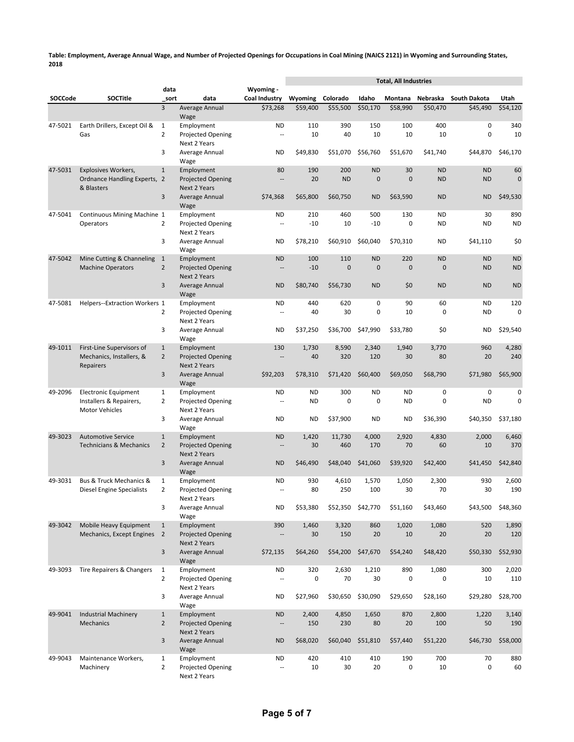|         |                                                                 |                                |                                                 |                             |              |                     |                           | <b>Total, All Industries</b> |                             |                        |                        |
|---------|-----------------------------------------------------------------|--------------------------------|-------------------------------------------------|-----------------------------|--------------|---------------------|---------------------------|------------------------------|-----------------------------|------------------------|------------------------|
| SOCCode | <b>SOCTitle</b>                                                 | data<br>sort                   | data                                            | Wyoming -<br>Coal Industry  | Wyoming      | Colorado            | Idaho                     | Montana                      | Nebraska                    | South Dakota           | Utah                   |
|         |                                                                 | 3                              | <b>Average Annual</b>                           | \$73,268                    | \$59,400     | \$55,500            | \$50,170                  | \$58,990                     | \$50.470                    | \$45,490               | \$54,120               |
| 47-5021 | Earth Drillers, Except Oil &                                    | $\mathbf{1}$                   | Wage<br>Employment                              | <b>ND</b>                   | 110          | 390                 | 150                       | 100                          | 400                         | 0                      | 340                    |
|         | Gas                                                             | $\overline{2}$                 | Projected Opening                               | ٠.                          | 10           | 40                  | 10                        | 10                           | 10                          | 0                      | 10                     |
|         |                                                                 | 3                              | Next 2 Years<br>Average Annual                  | <b>ND</b>                   | \$49,830     | \$51,070            | \$56,760                  | \$51,670                     | \$41,740                    | \$44,870               | \$46,170               |
|         |                                                                 |                                | Wage                                            |                             |              |                     |                           |                              |                             |                        |                        |
| 47-5031 | <b>Explosives Workers,</b>                                      | $\mathbf{1}$                   | Employment                                      | 80                          | 190          | 200                 | <b>ND</b>                 | 30                           | <b>ND</b>                   | <b>ND</b>              | 60                     |
|         | Ordnance Handling Experts, 2<br>& Blasters                      |                                | <b>Projected Opening</b><br><b>Next 2 Years</b> | $\overline{a}$              | 20           | <b>ND</b>           | $\mathbf{0}$              | $\mathbf{0}$                 | <b>ND</b>                   | <b>ND</b>              | $\mathbf 0$            |
|         |                                                                 | 3                              | Average Annual                                  | \$74,368                    | \$65,800     | \$60,750            | <b>ND</b>                 | \$63,590                     | <b>ND</b>                   | <b>ND</b>              | \$49,530               |
| 47-5041 | Continuous Mining Machine 1                                     |                                | Wage<br>Employment                              | ND                          | 210          | 460                 | 500                       | 130                          | <b>ND</b>                   | 30                     | 890                    |
|         | Operators                                                       | 2                              | Projected Opening                               | ٠.                          | $-10$        | 10                  | $-10$                     | $\mathbf 0$                  | <b>ND</b>                   | ND                     | <b>ND</b>              |
|         |                                                                 | 3                              | Next 2 Years<br>Average Annual                  | ND                          | \$78,210     | \$60,910            | \$60,040                  | \$70,310                     | <b>ND</b>                   | \$41,110               | \$0                    |
|         |                                                                 |                                | Wage                                            |                             |              |                     |                           |                              |                             |                        |                        |
| 47-5042 | Mine Cutting & Channeling<br><b>Machine Operators</b>           | $\mathbf{1}$<br>$\overline{2}$ | Employment<br><b>Projected Opening</b>          | <b>ND</b><br>$\overline{a}$ | 100<br>$-10$ | 110<br>$\mathbf{0}$ | <b>ND</b><br>$\mathbf{0}$ | 220<br>$\overline{0}$        | <b>ND</b><br>$\overline{0}$ | <b>ND</b><br><b>ND</b> | <b>ND</b><br><b>ND</b> |
|         |                                                                 |                                | <b>Next 2 Years</b>                             |                             |              |                     |                           |                              |                             |                        |                        |
|         |                                                                 | 3                              | Average Annual                                  | <b>ND</b>                   | \$80,740     | \$56,730            | <b>ND</b>                 | \$0                          | <b>ND</b>                   | <b>ND</b>              | <b>ND</b>              |
| 47-5081 | Helpers--Extraction Workers 1                                   |                                | Wage<br>Employment                              | ND                          | 440          | 620                 | 0                         | 90                           | 60                          | <b>ND</b>              | 120                    |
|         |                                                                 | $\overline{2}$                 | Projected Opening                               | $\sim$                      | 40           | 30                  | 0                         | 10                           | 0                           | ND                     | 0                      |
|         |                                                                 | 3                              | Next 2 Years<br>Average Annual                  | ND                          | \$37,250     | \$36.700            | \$47,990                  | \$33,780                     | \$0                         | <b>ND</b>              | \$29,540               |
|         |                                                                 |                                | Wage                                            |                             |              |                     |                           |                              |                             |                        |                        |
| 49-1011 | First-Line Supervisors of<br>Mechanics, Installers, &           | $\mathbf{1}$<br>$\overline{2}$ | Employment<br><b>Projected Opening</b>          | 130<br>--                   | 1,730<br>40  | 8,590<br>320        | 2,340<br>120              | 1,940<br>30                  | 3,770<br>80                 | 960<br>20              | 4,280<br>240           |
|         | Repairers                                                       |                                | <b>Next 2 Years</b>                             |                             |              |                     |                           |                              |                             |                        |                        |
|         |                                                                 | 3                              | Average Annual<br>Wage                          | \$92,203                    | \$78,310     | \$71,420            | \$60,400                  | \$69,050                     | \$68,790                    | \$71,980               | \$65,900               |
| 49-2096 | <b>Electronic Equipment</b>                                     | $\mathbf{1}$                   | Employment                                      | ND                          | <b>ND</b>    | 300                 | <b>ND</b>                 | <b>ND</b>                    | 0                           | 0                      | 0                      |
|         | Installers & Repairers,<br><b>Motor Vehicles</b>                | $\overline{2}$                 | Projected Opening<br>Next 2 Years               | --                          | <b>ND</b>    | 0                   | $\mathbf 0$               | <b>ND</b>                    | 0                           | <b>ND</b>              | 0                      |
|         |                                                                 | 3                              | Average Annual                                  | ND                          | <b>ND</b>    | \$37,900            | ND                        | <b>ND</b>                    | \$36,390                    | \$40,350               | \$37,180               |
|         |                                                                 |                                | Wage                                            |                             |              |                     |                           |                              |                             |                        |                        |
| 49-3023 | <b>Automotive Service</b><br><b>Technicians &amp; Mechanics</b> | $\mathbf{1}$<br>$\overline{2}$ | Employment<br><b>Projected Opening</b>          | <b>ND</b><br>$\overline{a}$ | 1,420<br>30  | 11,730<br>460       | 4,000<br>170              | 2,920<br>70                  | 4,830<br>60                 | 2,000<br>10            | 6,460<br>370           |
|         |                                                                 |                                | <b>Next 2 Years</b>                             |                             |              |                     |                           |                              |                             |                        |                        |
|         |                                                                 | 3                              | Average Annual<br>Wage                          | <b>ND</b>                   | \$46,490     | \$48,040            | \$41,060                  | \$39,920                     | \$42,400                    | \$41,450               | \$42,840               |
| 49-3031 | <b>Bus &amp; Truck Mechanics &amp;</b>                          | $\mathbf{1}$                   | Employment                                      | ND                          | 930          | 4,610               | 1,570                     | 1,050                        | 2,300                       | 930                    | 2,600                  |
|         | <b>Diesel Engine Specialists</b>                                | $\overline{2}$                 | <b>Projected Opening</b><br>Next 2 Years        | $\overline{a}$              | 80           | 250                 | 100                       | 30                           | 70                          | 30                     | 190                    |
|         |                                                                 | 3                              | Average Annual                                  | <b>ND</b>                   | \$53,380     |                     | \$52,350 \$42,770         | \$51,160                     | \$43,460                    | \$43,500               | \$48,360               |
| 49-3042 | Mobile Heavy Equipment                                          | $\mathbf{1}$                   | Wage<br>Employment                              | 390                         | 1,460        | 3,320               | 860                       | 1,020                        | 1,080                       | 520                    | 1,890                  |
|         | Mechanics, Except Engines                                       | $\overline{2}$                 | Projected Opening                               | --                          | 30           | 150                 | 20                        | 10                           | 20                          | 20                     | 120                    |
|         |                                                                 | $\mathsf{3}$                   | Next 2 Years                                    |                             |              |                     |                           | \$54,240                     |                             |                        |                        |
|         |                                                                 |                                | Average Annual<br>Wage                          | \$72,135                    | \$64,260     | \$54,200            | \$47,670                  |                              | \$48,420                    | \$50,330               | \$52,930               |
| 49-3093 | Tire Repairers & Changers                                       | $\mathbf{1}$<br>$\overline{2}$ | Employment                                      | <b>ND</b>                   | 320          | 2,630<br>70         | 1,210<br>30               | 890<br>$\pmb{0}$             | 1,080<br>0                  | 300                    | 2,020                  |
|         |                                                                 |                                | Projected Opening<br>Next 2 Years               | ٠.                          | 0            |                     |                           |                              |                             | 10                     | 110                    |
|         |                                                                 | 3                              | Average Annual                                  | <b>ND</b>                   | \$27,960     | \$30,650            | \$30,090                  | \$29,650                     | \$28,160                    | \$29,280               | \$28,700               |
| 49-9041 | <b>Industrial Machinery</b>                                     | $\mathbf 1$                    | Wage<br>Employment                              | <b>ND</b>                   | 2,400        | 4,850               | 1,650                     | 870                          | 2,800                       | 1,220                  | 3,140                  |
|         | <b>Mechanics</b>                                                | $\overline{2}$                 | Projected Opening                               | $\frac{1}{2}$               | 150          | 230                 | 80                        | 20                           | 100                         | 50                     | 190                    |
|         |                                                                 | 3                              | Next 2 Years<br>Average Annual                  | <b>ND</b>                   | \$68,020     | \$60,040            | \$51,810                  | \$57,440                     | \$51,220                    | \$46,730               | \$58,000               |
|         |                                                                 |                                | Wage                                            |                             |              |                     |                           |                              |                             |                        |                        |
| 49-9043 | Maintenance Workers,<br>Machinery                               | $\mathbf{1}$<br>$\overline{2}$ | Employment<br>Projected Opening                 | <b>ND</b><br>Ξ.             | 420<br>10    | 410<br>30           | 410<br>20                 | 190<br>0                     | 700<br>10                   | 70<br>0                | 880<br>60              |
|         |                                                                 |                                | Next 2 Years                                    |                             |              |                     |                           |                              |                             |                        |                        |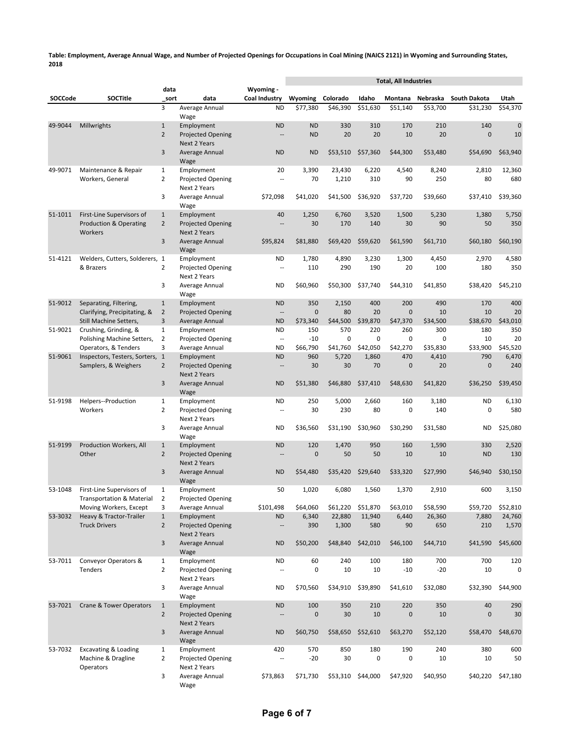|         |                                                                   |                                |                                                 |                                       | <b>Total, All Industries</b> |               |                         |                  |               |                  |                |
|---------|-------------------------------------------------------------------|--------------------------------|-------------------------------------------------|---------------------------------------|------------------------------|---------------|-------------------------|------------------|---------------|------------------|----------------|
| SOCCode | <b>SOCTitle</b>                                                   | data<br>sort                   | data                                            | Wyoming -<br>Coal Industry            | Wyoming                      | Colorado      | Idaho                   | Montana          | Nebraska      | South Dakota     | Utah           |
|         |                                                                   | 3                              | Average Annual                                  | <b>ND</b>                             | \$77,380                     | \$46,390      | \$51,630                | \$51,140         | \$53,700      | \$31,230         | \$54,370       |
|         |                                                                   |                                | Wage                                            |                                       |                              |               |                         |                  |               |                  |                |
| 49-9044 | Millwrights                                                       | $\mathbf{1}$                   | Employment                                      | <b>ND</b>                             | <b>ND</b>                    | 330           | 310                     | 170              | 210           | 140              | $\pmb{0}$      |
|         |                                                                   | $\overline{2}$                 | <b>Projected Opening</b><br><b>Next 2 Years</b> | $\overline{a}$                        | <b>ND</b>                    | 20            | 20                      | 10               | 20            | $\mathbf{0}$     | 10             |
|         |                                                                   | 3                              | Average Annual                                  | <b>ND</b>                             | <b>ND</b>                    | \$53,510      | \$57,360                | \$44,300         | \$53,480      | \$54,690         | \$63,940       |
|         |                                                                   |                                | Wage                                            |                                       |                              |               |                         |                  |               |                  |                |
| 49-9071 | Maintenance & Repair                                              | $\mathbf{1}$                   | Employment                                      | 20                                    | 3,390                        | 23,430        | 6,220                   | 4,540            | 8,240         | 2,810            | 12,360         |
|         | Workers, General                                                  | $\overline{2}$                 | Projected Opening                               | ٠.                                    | 70                           | 1,210         | 310                     | 90               | 250           | 80               | 680            |
|         |                                                                   | 3                              | Next 2 Years<br>Average Annual                  | \$72,098                              | \$41,020                     | \$41,500      | \$36,920                | \$37,720         | \$39,660      | \$37,410         | \$39,360       |
|         |                                                                   |                                | Wage                                            |                                       |                              |               |                         |                  |               |                  |                |
| 51-1011 | First-Line Supervisors of                                         | $\mathbf{1}$                   | Employment                                      | 40                                    | 1,250                        | 6,760         | 3,520                   | 1,500            | 5,230         | 1,380            | 5,750          |
|         | <b>Production &amp; Operating</b>                                 | $\overline{2}$                 | <b>Projected Opening</b>                        | $\overline{a}$                        | 30                           | 170           | 140                     | 30               | 90            | 50               | 350            |
|         | Workers                                                           | 3                              | Next 2 Years                                    |                                       |                              |               |                         |                  |               |                  |                |
|         |                                                                   |                                | Average Annual<br>Wage                          | \$95,824                              | \$81,880                     | \$69,420      | \$59,620                | \$61,590         | \$61,710      | \$60,180         | \$60,190       |
| 51-4121 | Welders, Cutters, Solderers, 1                                    |                                | Employment                                      | <b>ND</b>                             | 1,780                        | 4,890         | 3,230                   | 1,300            | 4,450         | 2,970            | 4,580          |
|         | & Brazers                                                         | $\overline{2}$                 | Projected Opening                               | $\overline{\phantom{a}}$              | 110                          | 290           | 190                     | 20               | 100           | 180              | 350            |
|         |                                                                   |                                | Next 2 Years                                    |                                       |                              |               |                         |                  |               |                  |                |
|         |                                                                   | 3                              | Average Annual<br>Wage                          | ND                                    | \$60,960                     | \$50,300      | \$37,740                | \$44,310         | \$41,850      | \$38,420         | \$45,210       |
| 51-9012 | Separating, Filtering,                                            | $\mathbf{1}$                   | Employment                                      | <b>ND</b>                             | 350                          | 2,150         | 400                     | 200              | 490           | 170              | 400            |
|         | Clarifying, Precipitating, &                                      | $\overline{2}$                 | <b>Projected Opening</b>                        | $\overline{\phantom{a}}$              | $\mathbf{0}$                 | 80            | 20                      | $\mathbf 0$      | 10            | 10               | 20             |
|         | Still Machine Setters,                                            | 3                              | Average Annual                                  | <b>ND</b>                             | \$73,340                     | \$44.500      | \$39,870                | \$47,370         | \$34.500      | \$38,670         | \$43,010       |
| 51-9021 | Crushing, Grinding, &                                             | $\mathbf{1}$                   | Employment                                      | ND                                    | 150                          | 570           | 220                     | 260              | 300           | 180              | 350            |
|         | Polishing Machine Setters,<br>Operators, & Tenders                | $\mathbf 2$<br>3               | Projected Opening<br>Average Annual             | $\overline{\phantom{a}}$<br><b>ND</b> | $-10$<br>\$66.790            | 0<br>\$41,760 | $\mathbf 0$<br>\$42,050 | 0<br>\$42.270    | 0<br>\$35,830 | 10<br>\$33,900   | 20<br>\$45,520 |
| 51-9061 | Inspectors, Testers, Sorters, 1                                   |                                | Employment                                      | <b>ND</b>                             | 960                          | 5,720         | 1,860                   | 470              | 4,410         | 790              | 6,470          |
|         | Samplers, & Weighers                                              | $\overline{2}$                 | <b>Projected Opening</b>                        | $\overline{\phantom{a}}$              | 30                           | 30            | 70                      | $\mathbf 0$      | 20            | $\mathbf 0$      | 240            |
|         |                                                                   |                                | Next 2 Years                                    |                                       |                              |               |                         |                  |               |                  |                |
|         |                                                                   | $\mathsf 3$                    | Average Annual                                  | <b>ND</b>                             | \$51,380                     | \$46,880      | \$37,410                | \$48,630         | \$41,820      | \$36,250         | \$39,450       |
| 51-9198 | Helpers--Production                                               | $\mathbf{1}$                   | Wage<br>Employment                              | <b>ND</b>                             | 250                          | 5,000         | 2,660                   | 160              | 3,180         | <b>ND</b>        | 6,130          |
|         | Workers                                                           | $\overline{2}$                 | Projected Opening                               | $\overline{\phantom{a}}$              | 30                           | 230           | 80                      | $\mathbf 0$      | 140           | $\mathbf 0$      | 580            |
|         |                                                                   |                                | Next 2 Years                                    |                                       |                              |               |                         |                  |               |                  |                |
|         |                                                                   | 3                              | Average Annual                                  | <b>ND</b>                             | \$36,560                     | \$31,190      | \$30,960                | \$30,290         | \$31,580      | <b>ND</b>        | \$25,080       |
|         |                                                                   |                                | Wage                                            |                                       |                              |               |                         |                  |               |                  |                |
| 51-9199 | Production Workers, All<br>Other                                  | $\mathbf{1}$<br>$\overline{2}$ | Employment<br><b>Projected Opening</b>          | <b>ND</b><br>$\sim$ $\sim$            | 120<br>$\mathbf{0}$          | 1,470<br>50   | 950<br>50               | 160<br>10        | 1,590<br>10   | 330<br><b>ND</b> | 2,520<br>130   |
|         |                                                                   |                                | Next 2 Years                                    |                                       |                              |               |                         |                  |               |                  |                |
|         |                                                                   | 3                              | Average Annual                                  | <b>ND</b>                             | \$54,480                     | \$35,420      | \$29,640                | \$33,320         | \$27,990      | \$46,940         | \$30,150       |
|         |                                                                   |                                | Wage                                            |                                       |                              |               |                         |                  |               |                  |                |
| 53-1048 | First-Line Supervisors of<br><b>Transportation &amp; Material</b> | 1<br>$\mathbf 2$               | Employment                                      | 50                                    | 1,020                        | 6,080         | 1,560                   | 1,370            | 2,910         | 600              | 3,150          |
|         | Moving Workers, Except                                            | 3                              | Projected Opening<br>Average Annual             | \$101,498                             | \$64,060                     | \$61,220      | \$51,870                | \$63,010         | \$58,590      | \$59,720         | \$52,810       |
| 53-3032 | Heavy & Tractor-Trailer                                           | $\mathbf{1}$                   | Employment                                      | <b>ND</b>                             | 6,340                        | 22,880        | 11,940                  | 6,440            | 26,360        | 7,880            | 24,760         |
|         | <b>Truck Drivers</b>                                              | $\overline{2}$                 | Projected Opening                               | $\overline{\phantom{a}}$              | 390                          | 1,300         | 580                     | 90               | 650           | 210              | 1,570          |
|         |                                                                   |                                | Next 2 Years                                    |                                       |                              |               |                         |                  |               |                  |                |
|         |                                                                   | 3                              | Average Annual<br>Wage                          | <b>ND</b>                             | \$50,200                     | \$48,840      | \$42,010                | \$46,100         | \$44,710      | \$41,590         | \$45,600       |
| 53-7011 | Conveyor Operators &                                              | $\mathbf{1}$                   | Employment                                      | <b>ND</b>                             | 60                           | 240           | 100                     | 180              | 700           | 700              | 120            |
|         | Tenders                                                           | $\overline{2}$                 | Projected Opening                               | ٠.                                    | 0                            | 10            | 10                      | $-10$            | $-20$         | 10               | 0              |
|         |                                                                   |                                | Next 2 Years                                    |                                       |                              |               |                         |                  |               |                  |                |
|         |                                                                   | 3                              | Average Annual                                  | ND                                    | \$70,560                     | \$34,910      | \$39,890                | \$41,610         | \$32,080      | \$32,390         | \$44,900       |
| 53-7021 | <b>Crane &amp; Tower Operators</b>                                | $\mathbf{1}$                   | Wage<br>Employment                              | <b>ND</b>                             | 100                          | 350           | 210                     | 220              | 350           | 40               | 290            |
|         |                                                                   | $\overline{2}$                 | <b>Projected Opening</b>                        | $\overline{\phantom{a}}$              | $\pmb{0}$                    | 30            | 10                      | $\boldsymbol{0}$ | 10            | $\mathbf 0$      | 30             |
|         |                                                                   |                                | Next 2 Years                                    |                                       |                              |               |                         |                  |               |                  |                |
|         |                                                                   | 3                              | Average Annual                                  | ND                                    | \$60,750                     | \$58,650      | \$52,610                | \$63,270         | \$52,120      | \$58,470         | \$48,670       |
|         |                                                                   |                                | Wage                                            |                                       |                              |               |                         |                  |               |                  |                |
| 53-7032 | <b>Excavating &amp; Loading</b><br>Machine & Dragline             | $\mathbf{1}$<br>$\overline{2}$ | Employment<br>Projected Opening                 | 420<br>$\overline{\phantom{a}}$       | 570<br>$-20$                 | 850<br>30     | 180<br>$\mathbf 0$      | 190<br>0         | 240<br>10     | 380<br>10        | 600<br>50      |
|         | Operators                                                         |                                | Next 2 Years                                    |                                       |                              |               |                         |                  |               |                  |                |
|         |                                                                   | 3                              | Average Annual                                  | \$73,863                              | \$71,730                     | \$53,310      | \$44,000                | \$47,920         | \$40,950      | \$40,220         | \$47,180       |
|         |                                                                   |                                | Wage                                            |                                       |                              |               |                         |                  |               |                  |                |